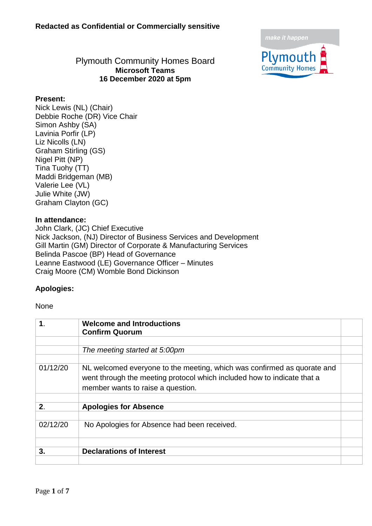

### Plymouth Community Homes Board **Microsoft Teams 16 December 2020 at 5pm**

#### **Present:**

Nick Lewis (NL) (Chair) Debbie Roche (DR) Vice Chair Simon Ashby (SA) Lavinia Porfir (LP) Liz Nicolls (LN) Graham Stirling (GS) Nigel Pitt (NP) Tina Tuohy (TT) Maddi Bridgeman (MB) Valerie Lee (VL) Julie White (JW) Graham Clayton (GC)

#### **In attendance:**

John Clark, (JC) Chief Executive Nick Jackson, (NJ) Director of Business Services and Development Gill Martin (GM) Director of Corporate & Manufacturing Services Belinda Pascoe (BP) Head of Governance Leanne Eastwood (LE) Governance Officer – Minutes Craig Moore (CM) Womble Bond Dickinson

#### **Apologies:**

#### None

| 1.       | <b>Welcome and Introductions</b><br><b>Confirm Quorum</b>                                                                                                                               |  |
|----------|-----------------------------------------------------------------------------------------------------------------------------------------------------------------------------------------|--|
|          | The meeting started at 5:00pm                                                                                                                                                           |  |
| 01/12/20 | NL welcomed everyone to the meeting, which was confirmed as quorate and<br>went through the meeting protocol which included how to indicate that a<br>member wants to raise a question. |  |
| 2.       | <b>Apologies for Absence</b>                                                                                                                                                            |  |
| 02/12/20 | No Apologies for Absence had been received.                                                                                                                                             |  |
| 3.       | <b>Declarations of Interest</b>                                                                                                                                                         |  |
|          |                                                                                                                                                                                         |  |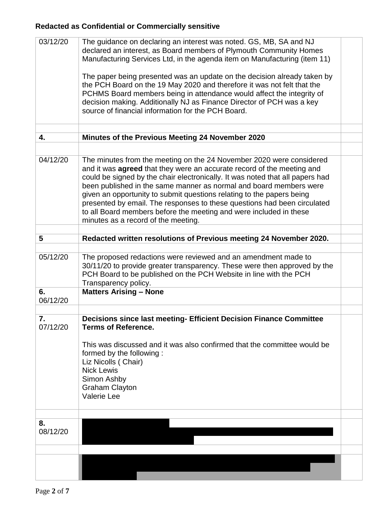| 03/12/20       | The guidance on declaring an interest was noted. GS, MB, SA and NJ<br>declared an interest, as Board members of Plymouth Community Homes<br>Manufacturing Services Ltd, in the agenda item on Manufacturing (item 11)                                                                                                                                                                                                                                                                                                                                                          |  |
|----------------|--------------------------------------------------------------------------------------------------------------------------------------------------------------------------------------------------------------------------------------------------------------------------------------------------------------------------------------------------------------------------------------------------------------------------------------------------------------------------------------------------------------------------------------------------------------------------------|--|
|                | The paper being presented was an update on the decision already taken by<br>the PCH Board on the 19 May 2020 and therefore it was not felt that the<br>PCHMS Board members being in attendance would affect the integrity of<br>decision making. Additionally NJ as Finance Director of PCH was a key<br>source of financial information for the PCH Board.                                                                                                                                                                                                                    |  |
|                |                                                                                                                                                                                                                                                                                                                                                                                                                                                                                                                                                                                |  |
| 4.             | Minutes of the Previous Meeting 24 November 2020                                                                                                                                                                                                                                                                                                                                                                                                                                                                                                                               |  |
|                |                                                                                                                                                                                                                                                                                                                                                                                                                                                                                                                                                                                |  |
| 04/12/20       | The minutes from the meeting on the 24 November 2020 were considered<br>and it was <b>agreed</b> that they were an accurate record of the meeting and<br>could be signed by the chair electronically. It was noted that all papers had<br>been published in the same manner as normal and board members were<br>given an opportunity to submit questions relating to the papers being<br>presented by email. The responses to these questions had been circulated<br>to all Board members before the meeting and were included in these<br>minutes as a record of the meeting. |  |
| 5              | Redacted written resolutions of Previous meeting 24 November 2020.                                                                                                                                                                                                                                                                                                                                                                                                                                                                                                             |  |
|                |                                                                                                                                                                                                                                                                                                                                                                                                                                                                                                                                                                                |  |
| 05/12/20       | The proposed redactions were reviewed and an amendment made to<br>30/11/20 to provide greater transparency. These were then approved by the<br>PCH Board to be published on the PCH Website in line with the PCH<br>Transparency policy.                                                                                                                                                                                                                                                                                                                                       |  |
| 6.<br>06/12/20 | <b>Matters Arising - None</b>                                                                                                                                                                                                                                                                                                                                                                                                                                                                                                                                                  |  |
|                |                                                                                                                                                                                                                                                                                                                                                                                                                                                                                                                                                                                |  |
| 7.<br>07/12/20 | <b>Decisions since last meeting- Efficient Decision Finance Committee</b><br><b>Terms of Reference.</b>                                                                                                                                                                                                                                                                                                                                                                                                                                                                        |  |
|                | This was discussed and it was also confirmed that the committee would be<br>formed by the following:<br>Liz Nicolls (Chair)<br><b>Nick Lewis</b><br>Simon Ashby<br><b>Graham Clayton</b><br><b>Valerie Lee</b>                                                                                                                                                                                                                                                                                                                                                                 |  |
|                |                                                                                                                                                                                                                                                                                                                                                                                                                                                                                                                                                                                |  |
| 8.<br>08/12/20 |                                                                                                                                                                                                                                                                                                                                                                                                                                                                                                                                                                                |  |
|                |                                                                                                                                                                                                                                                                                                                                                                                                                                                                                                                                                                                |  |
|                |                                                                                                                                                                                                                                                                                                                                                                                                                                                                                                                                                                                |  |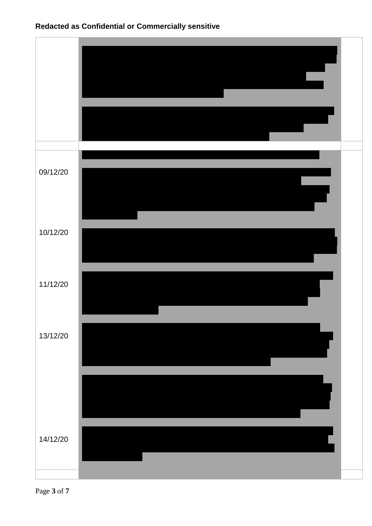

Page **3** of **7**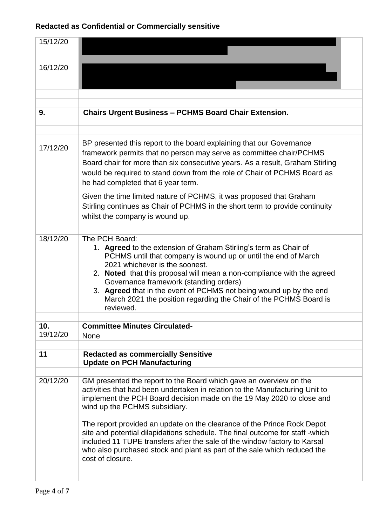| 15/12/20 |                                                                                                                                                                                                                                                                                                                                                                                                                                                                                                                                                                                                       |  |
|----------|-------------------------------------------------------------------------------------------------------------------------------------------------------------------------------------------------------------------------------------------------------------------------------------------------------------------------------------------------------------------------------------------------------------------------------------------------------------------------------------------------------------------------------------------------------------------------------------------------------|--|
| 16/12/20 |                                                                                                                                                                                                                                                                                                                                                                                                                                                                                                                                                                                                       |  |
|          |                                                                                                                                                                                                                                                                                                                                                                                                                                                                                                                                                                                                       |  |
|          |                                                                                                                                                                                                                                                                                                                                                                                                                                                                                                                                                                                                       |  |
| 9.       | <b>Chairs Urgent Business - PCHMS Board Chair Extension.</b>                                                                                                                                                                                                                                                                                                                                                                                                                                                                                                                                          |  |
|          |                                                                                                                                                                                                                                                                                                                                                                                                                                                                                                                                                                                                       |  |
| 17/12/20 | BP presented this report to the board explaining that our Governance<br>framework permits that no person may serve as committee chair/PCHMS<br>Board chair for more than six consecutive years. As a result, Graham Stirling<br>would be required to stand down from the role of Chair of PCHMS Board as<br>he had completed that 6 year term.                                                                                                                                                                                                                                                        |  |
|          | Given the time limited nature of PCHMS, it was proposed that Graham<br>Stirling continues as Chair of PCHMS in the short term to provide continuity<br>whilst the company is wound up.                                                                                                                                                                                                                                                                                                                                                                                                                |  |
| 18/12/20 | The PCH Board:<br>1. Agreed to the extension of Graham Stirling's term as Chair of<br>PCHMS until that company is wound up or until the end of March<br>2021 whichever is the soonest.<br>2. Noted that this proposal will mean a non-compliance with the agreed<br>Governance framework (standing orders)<br>3. Agreed that in the event of PCHMS not being wound up by the end<br>March 2021 the position regarding the Chair of the PCHMS Board is<br>reviewed.                                                                                                                                    |  |
| 10.      | <b>Committee Minutes Circulated-</b>                                                                                                                                                                                                                                                                                                                                                                                                                                                                                                                                                                  |  |
| 19/12/20 | <b>None</b>                                                                                                                                                                                                                                                                                                                                                                                                                                                                                                                                                                                           |  |
| 11       | <b>Redacted as commercially Sensitive</b><br><b>Update on PCH Manufacturing</b>                                                                                                                                                                                                                                                                                                                                                                                                                                                                                                                       |  |
| 20/12/20 | GM presented the report to the Board which gave an overview on the<br>activities that had been undertaken in relation to the Manufacturing Unit to<br>implement the PCH Board decision made on the 19 May 2020 to close and<br>wind up the PCHMS subsidiary.<br>The report provided an update on the clearance of the Prince Rock Depot<br>site and potential dilapidations schedule. The final outcome for staff -which<br>included 11 TUPE transfers after the sale of the window factory to Karsal<br>who also purchased stock and plant as part of the sale which reduced the<br>cost of closure. |  |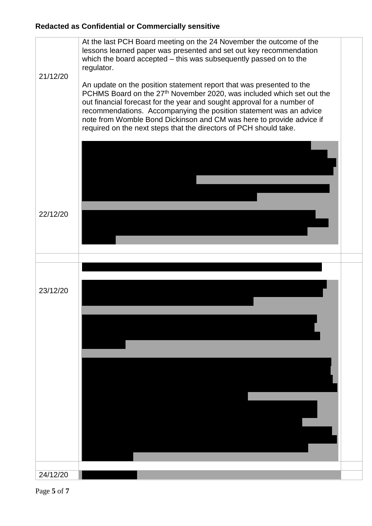

Page **5** of **7**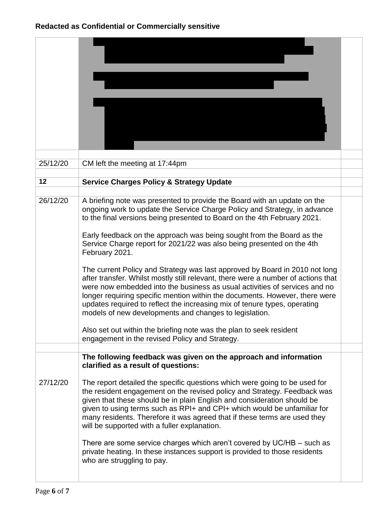| 25/12/20 | CM left the meeting at 17:44pm                                                                                                                                                                                                                                                                                                                                                                                                                                                                                                                                                                                                                                                                                                                                                                                                                                                |  |
|----------|-------------------------------------------------------------------------------------------------------------------------------------------------------------------------------------------------------------------------------------------------------------------------------------------------------------------------------------------------------------------------------------------------------------------------------------------------------------------------------------------------------------------------------------------------------------------------------------------------------------------------------------------------------------------------------------------------------------------------------------------------------------------------------------------------------------------------------------------------------------------------------|--|
| 12       | <b>Service Charges Policy &amp; Strategy Update</b>                                                                                                                                                                                                                                                                                                                                                                                                                                                                                                                                                                                                                                                                                                                                                                                                                           |  |
| 26/12/20 | A briefing note was presented to provide the Board with an update on the<br>ongoing work to update the Service Charge Policy and Strategy, in advance<br>to the final versions being presented to Board on the 4th February 2021.<br>Early feedback on the approach was being sought from the Board as the<br>Service Charge report for 2021/22 was also being presented on the 4th<br>February 2021.<br>The current Policy and Strategy was last approved by Board in 2010 not long<br>after transfer. Whilst mostly still relevant, there were a number of actions that<br>were now embedded into the business as usual activities of services and no<br>longer requiring specific mention within the documents. However, there were<br>updates required to reflect the increasing mix of tenure types, operating<br>models of new developments and changes to legislation. |  |
|          | Also set out within the briefing note was the plan to seek resident<br>engagement in the revised Policy and Strategy.                                                                                                                                                                                                                                                                                                                                                                                                                                                                                                                                                                                                                                                                                                                                                         |  |
| 27/12/20 | The following feedback was given on the approach and information<br>clarified as a result of questions:<br>The report detailed the specific questions which were going to be used for                                                                                                                                                                                                                                                                                                                                                                                                                                                                                                                                                                                                                                                                                         |  |
|          | the resident engagement on the revised policy and Strategy. Feedback was<br>given that these should be in plain English and consideration should be<br>given to using terms such as RPI+ and CPI+ which would be unfamiliar for<br>many residents. Therefore it was agreed that if these terms are used they<br>will be supported with a fuller explanation.<br>There are some service charges which aren't covered by $UC/HB - such$ as                                                                                                                                                                                                                                                                                                                                                                                                                                      |  |
|          | private heating. In these instances support is provided to those residents<br>who are struggling to pay.                                                                                                                                                                                                                                                                                                                                                                                                                                                                                                                                                                                                                                                                                                                                                                      |  |